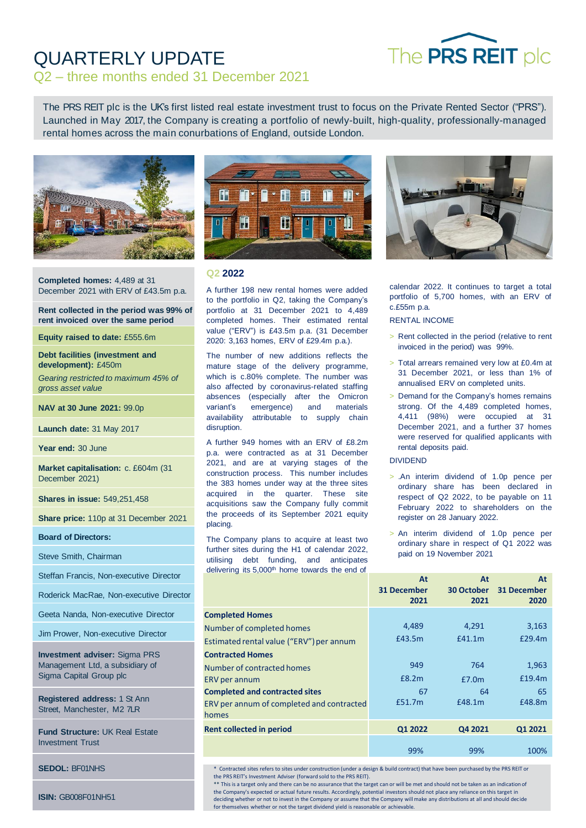

# QUARTERLY UPDATE

# Q2 – three months ended 31 December 2021

The PRS REIT plc is the UK's first listed real estate investment trust to focus on the Private Rented Sector ("PRS"). Launched in May 2017, the Company is creating a portfolio of newly-built, high-quality, professionally-managed rental homes across the main conurbations of England, outside London.



**Completed homes:** 4,489 at 31 December 2021 with ERV of £43.5m p.a.

**Rent collected in the period was 99% of rent invoiced over the same period**

**Equity raised to date:** £555.6m

**Debt facilities (investment and development):** £450m

*Gearing restricted to maximum 45% of gross asset value*

**NAV at 30 June 2021:** 99.0p

**Launch date:** 31 May 2017

**Year end:** 30 June

**Market capitalisation:** c. £604m (31 December 2021)

**Shares in issue:** 549,251,458

**Share price:** 110p at 31 December 2021

**Board of Directors:**

Steve Smith, Chairman

Steffan Francis, Non-executive Director

Roderick MacRae, Non-executive Director

Geeta Nanda, Non-executive Director

Jim Prower, Non-executive Director

**Investment adviser:** Sigma PRS Management Ltd, a subsidiary of Sigma Capital Group plc

**Registered address:** 1 St Ann Street, Manchester, M2 7LR

**Fund Structure:** UK Real Estate Investment Trust

**SEDOL:** BF01NHS

**ISIN:** GB008F01NH51



#### **Q2 2022**

A further 198 new rental homes were added to the portfolio in Q2, taking the Company's portfolio at 31 December 2021 to 4,489 completed homes. Their estimated rental value ("ERV") is £43.5m p.a. (31 December 2020: 3,163 homes, ERV of £29.4m p.a.).

The number of new additions reflects the mature stage of the delivery programme, which is c.80% complete. The number was also affected by coronavirus-related staffing absences (especially after the Omicron variant's emergence) and materials availability attributable to supply chain disruption.

A further 949 homes with an ERV of £8.2m p.a. were contracted as at 31 December 2021, and are at varying stages of the construction process. This number includes the 383 homes under way at the three sites acquired in the quarter. These site acquisitions saw the Company fully commit the proceeds of its September 2021 equity placing.

The Company plans to acquire at least two further sites during the H1 of calendar 2022, utilising debt funding, and anticipates delivering its 5,000<sup>th</sup> home towards the end of



calendar 2022. It continues to target a total portfolio of 5,700 homes, with an ERV of c.£55m p.a.

#### RENTAL INCOME

- > Rent collected in the period (relative to rent invoiced in the period) was 99%.
- > Total arrears remained very low at £0.4m at 31 December 2021, or less than 1% of annualised ERV on completed units.
- > Demand for the Company's homes remains strong. Of the 4,489 completed homes, 4,411 (98%) were occupied at 31 December 2021, and a further 37 homes were reserved for qualified applicants with rental deposits paid.

#### DIVIDEND

- > .An interim dividend of 1.0p pence per ordinary share has been declared in respect of Q2 2022, to be payable on 11 February 2022 to shareholders on the register on 28 January 2022.
- > An interim dividend of 1.0p pence per ordinary share in respect of Q1 2022 was paid on 19 November 2021

|                                           | At<br><b>31 December</b><br>2021 | At<br>30 October<br>2021 | At<br>31 December<br>2020 |
|-------------------------------------------|----------------------------------|--------------------------|---------------------------|
| <b>Completed Homes</b>                    |                                  |                          |                           |
| Number of completed homes                 | 4,489                            | 4,291                    | 3,163                     |
| Estimated rental value ("ERV") per annum  | £43.5m                           | £41.1m                   | £29.4m                    |
| <b>Contracted Homes</b>                   |                                  |                          |                           |
| Number of contracted homes                | 949                              | 764                      | 1,963                     |
| <b>ERV</b> per annum                      | E8.2m                            | £7.0m                    | £19.4m                    |
| <b>Completed and contracted sites</b>     | 67                               | 64                       | 65                        |
| ERV per annum of completed and contracted | £51.7m                           | £48.1m                   | £48.8m                    |
| homes                                     |                                  |                          |                           |
| <b>Rent collected in period</b>           | Q1 2022                          | Q4 2021                  | Q1 2021                   |
|                                           | 99%                              | 99%                      | 100%                      |

\* Contracted sites refers to sites under construction (under a design & build contract) that have been purchased by the PRS REIT or the PRS REIT's Investment Adviser (forward sold to the PRS REIT).

\*\* This is a target only and there can be no assurance that the target can or will be met and should not be taken as an indication of the Company's expected or actual future results. Accordingly, potential investors should not place any reliance on this target in deciding whether or not to invest in the Company or assume that the Company will make any distributions at all and should decide for themselves whether or not the target dividend yield is reasonable or achievable.